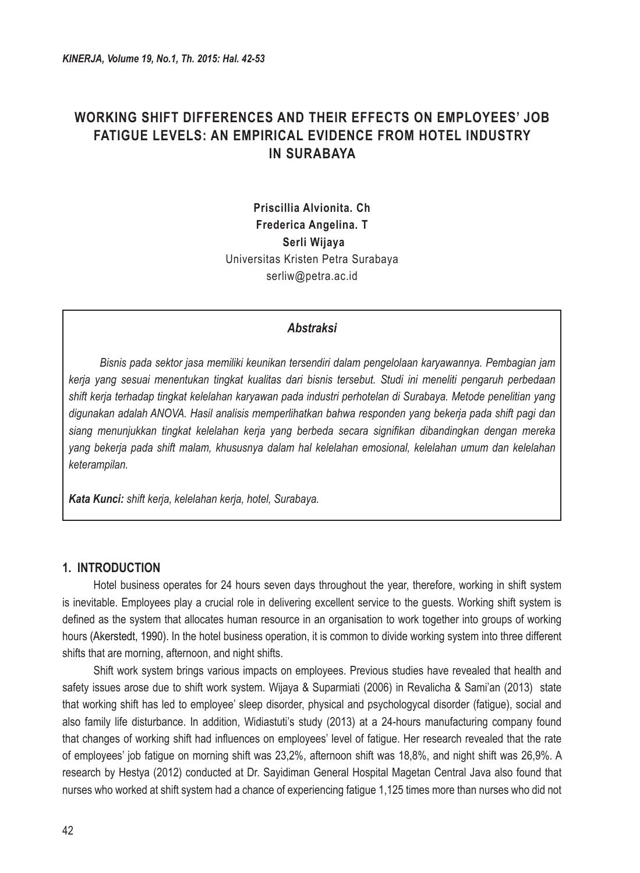# **WORKING SHIFT DIFFERENCES AND THEIR EFFECTS ON EMPLOYEES' JOB FATIGUE LEVELS: AN EMPIRICAL EVIDENCE FROM HOTEL INDUSTRY IN SURABAYA**

**Priscillia Alvionita. Ch Frederica Angelina. T Serli Wijaya** Universitas Kristen Petra Surabaya serliw@petra.ac.id

#### *Abstraksi*

*Bisnis pada sektor jasa memiliki keunikan tersendiri dalam pengelolaan karyawannya. Pembagian jam kerja yang sesuai menentukan tingkat kualitas dari bisnis tersebut. Studi ini meneliti pengaruh perbedaan shift kerja terhadap tingkat kelelahan karyawan pada industri perhotelan di Surabaya. Metode penelitian yang digunakan adalah ANOVA. Hasil analisis memperlihatkan bahwa responden yang bekerja pada shift pagi dan siang menunjukkan tingkat kelelahan kerja yang berbeda secara signifikan dibandingkan dengan mereka yang bekerja pada shift malam, khususnya dalam hal kelelahan emosional, kelelahan umum dan kelelahan keterampilan.* 

*Kata Kunci: shift kerja, kelelahan kerja, hotel, Surabaya.*

#### **1. INTRODUCTION**

Hotel business operates for 24 hours seven days throughout the year, therefore, working in shift system is inevitable. Employees play a crucial role in delivering excellent service to the guests. Working shift system is defined as the system that allocates human resource in an organisation to work together into groups of working hours (Akerstedt, 1990). In the hotel business operation, it is common to divide working system into three different shifts that are morning, afternoon, and night shifts.

Shift work system brings various impacts on employees. Previous studies have revealed that health and safety issues arose due to shift work system. Wijaya & Suparmiati (2006) in Revalicha & Sami'an (2013) state that working shift has led to employee' sleep disorder, physical and psychologycal disorder (fatigue), social and also family life disturbance. In addition, Widiastuti's study (2013) at a 24-hours manufacturing company found that changes of working shift had influences on employees' level of fatigue. Her research revealed that the rate of employees' job fatigue on morning shift was 23,2%, afternoon shift was 18,8%, and night shift was 26,9%. A research by Hestya (2012) conducted at Dr. Sayidiman General Hospital Magetan Central Java also found that nurses who worked at shift system had a chance of experiencing fatigue 1,125 times more than nurses who did not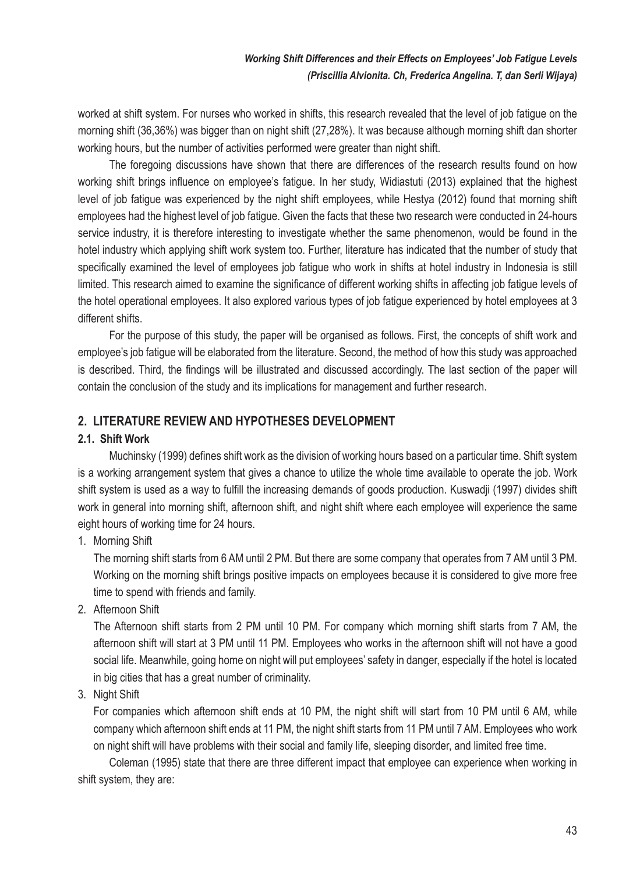worked at shift system. For nurses who worked in shifts, this research revealed that the level of job fatigue on the morning shift (36,36%) was bigger than on night shift (27,28%). It was because although morning shift dan shorter working hours, but the number of activities performed were greater than night shift.

The foregoing discussions have shown that there are differences of the research results found on how working shift brings influence on employee's fatigue. In her study, Widiastuti (2013) explained that the highest level of job fatigue was experienced by the night shift employees, while Hestya (2012) found that morning shift employees had the highest level of job fatigue. Given the facts that these two research were conducted in 24-hours service industry, it is therefore interesting to investigate whether the same phenomenon, would be found in the hotel industry which applying shift work system too. Further, literature has indicated that the number of study that specifically examined the level of employees job fatigue who work in shifts at hotel industry in Indonesia is still limited. This research aimed to examine the significance of different working shifts in affecting job fatigue levels of the hotel operational employees. It also explored various types of job fatigue experienced by hotel employees at 3 different shifts.

For the purpose of this study, the paper will be organised as follows. First, the concepts of shift work and employee's job fatigue will be elaborated from the literature. Second, the method of how this study was approached is described. Third, the findings will be illustrated and discussed accordingly. The last section of the paper will contain the conclusion of the study and its implications for management and further research.

# **2. LITERATURE REVIEW AND HYPOTHESES DEVELOPMENT**

#### **2.1. Shift Work**

Muchinsky (1999) defines shift work as the division of working hours based on a particular time. Shift system is a working arrangement system that gives a chance to utilize the whole time available to operate the job. Work shift system is used as a way to fulfill the increasing demands of goods production. Kuswadji (1997) divides shift work in general into morning shift, afternoon shift, and night shift where each employee will experience the same eight hours of working time for 24 hours.

1. Morning Shift

 The morning shift starts from 6 AM until 2 PM. But there are some company that operates from 7 AM until 3 PM. Working on the morning shift brings positive impacts on employees because it is considered to give more free time to spend with friends and family.

2. Afternoon Shift

 The Afternoon shift starts from 2 PM until 10 PM. For company which morning shift starts from 7 AM, the afternoon shift will start at 3 PM until 11 PM. Employees who works in the afternoon shift will not have a good social life. Meanwhile, going home on night will put employees' safety in danger, especially if the hotel is located in big cities that has a great number of criminality.

3. Night Shift

 For companies which afternoon shift ends at 10 PM, the night shift will start from 10 PM until 6 AM, while company which afternoon shift ends at 11 PM, the night shift starts from 11 PM until 7 AM. Employees who work on night shift will have problems with their social and family life, sleeping disorder, and limited free time.

Coleman (1995) state that there are three different impact that employee can experience when working in shift system, they are: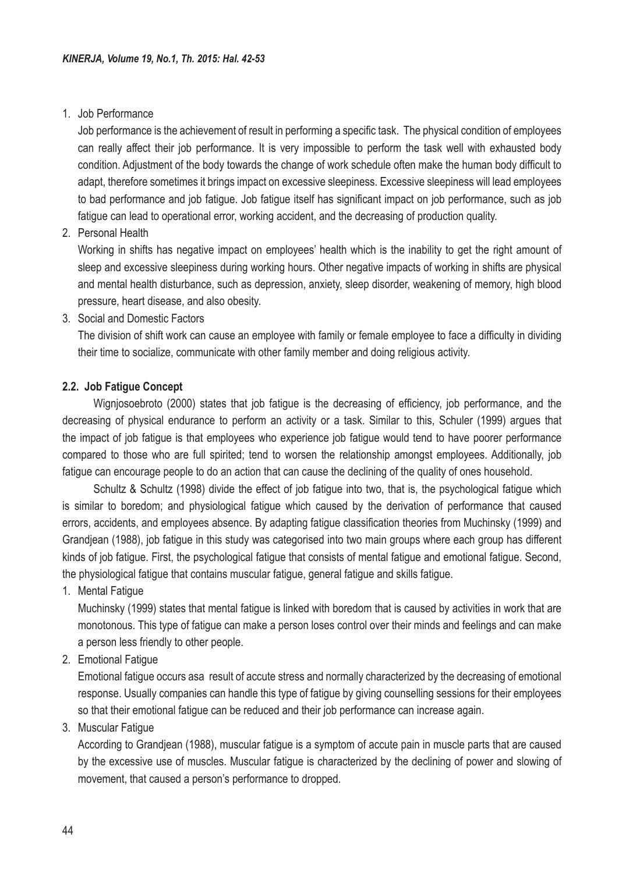#### 1. Job Performance

 Job performance is the achievement of result in performing a specific task. The physical condition of employees can really affect their job performance. It is very impossible to perform the task well with exhausted body condition. Adjustment of the body towards the change of work schedule often make the human body difficult to adapt, therefore sometimes it brings impact on excessive sleepiness. Excessive sleepiness will lead employees to bad performance and job fatigue. Job fatigue itself has significant impact on job performance, such as job fatigue can lead to operational error, working accident, and the decreasing of production quality.

#### 2. Personal Health

Working in shifts has negative impact on employees' health which is the inability to get the right amount of sleep and excessive sleepiness during working hours. Other negative impacts of working in shifts are physical and mental health disturbance, such as depression, anxiety, sleep disorder, weakening of memory, high blood pressure, heart disease, and also obesity.

3. Social and Domestic Factors

 The division of shift work can cause an employee with family or female employee to face a difficulty in dividing their time to socialize, communicate with other family member and doing religious activity.

#### **2.2. Job Fatigue Concept**

Wigniosoebroto (2000) states that job fatigue is the decreasing of efficiency, job performance, and the decreasing of physical endurance to perform an activity or a task. Similar to this, Schuler (1999) argues that the impact of job fatigue is that employees who experience job fatigue would tend to have poorer performance compared to those who are full spirited; tend to worsen the relationship amongst employees. Additionally, job fatigue can encourage people to do an action that can cause the declining of the quality of ones household.

Schultz & Schultz (1998) divide the effect of job fatigue into two, that is, the psychological fatigue which is similar to boredom; and physiological fatigue which caused by the derivation of performance that caused errors, accidents, and employees absence. By adapting fatigue classification theories from Muchinsky (1999) and Grandjean (1988), job fatigue in this study was categorised into two main groups where each group has different kinds of job fatigue. First, the psychological fatigue that consists of mental fatigue and emotional fatigue. Second, the physiological fatigue that contains muscular fatigue, general fatigue and skills fatigue.

1. Mental Fatigue

 Muchinsky (1999) states that mental fatigue is linked with boredom that is caused by activities in work that are monotonous. This type of fatigue can make a person loses control over their minds and feelings and can make a person less friendly to other people.

2. Emotional Fatigue

 Emotional fatigue occurs asa result of accute stress and normally characterized by the decreasing of emotional response. Usually companies can handle this type of fatigue by giving counselling sessions for their employees so that their emotional fatigue can be reduced and their job performance can increase again.

3. Muscular Fatigue

 According to Grandjean (1988), muscular fatigue is a symptom of accute pain in muscle parts that are caused by the excessive use of muscles. Muscular fatigue is characterized by the declining of power and slowing of movement, that caused a person's performance to dropped.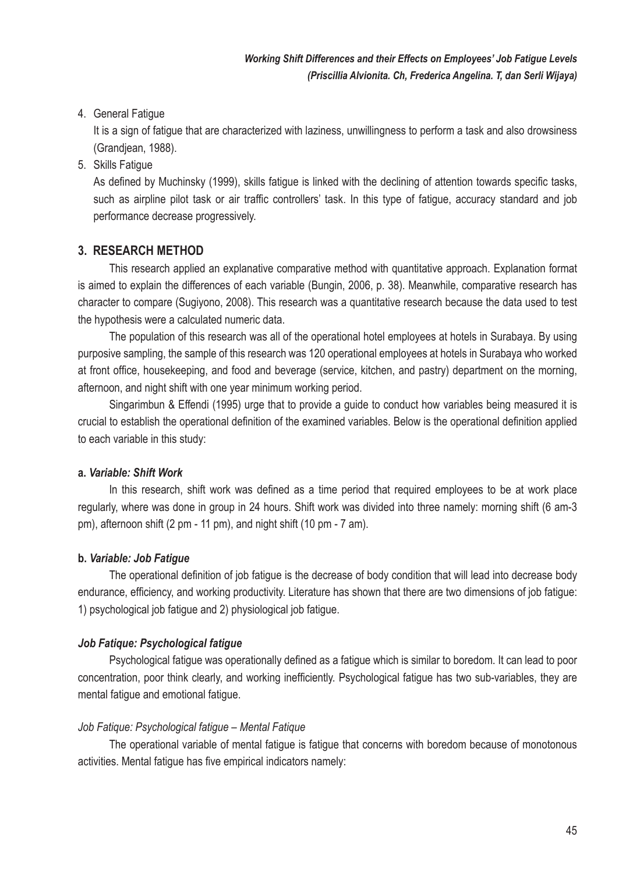### 4. General Fatigue

 It is a sign of fatigue that are characterized with laziness, unwillingness to perform a task and also drowsiness (Grandjean, 1988).

5. Skills Fatigue

 As defined by Muchinsky (1999), skills fatigue is linked with the declining of attention towards specific tasks, such as airpline pilot task or air traffic controllers' task. In this type of fatigue, accuracy standard and job performance decrease progressively.

# **3. RESEARCH METHOD**

This research applied an explanative comparative method with quantitative approach. Explanation format is aimed to explain the differences of each variable (Bungin, 2006, p. 38). Meanwhile, comparative research has character to compare (Sugiyono, 2008). This research was a quantitative research because the data used to test the hypothesis were a calculated numeric data.

The population of this research was all of the operational hotel employees at hotels in Surabaya. By using purposive sampling, the sample of this research was 120 operational employees at hotels in Surabaya who worked at front office, housekeeping, and food and beverage (service, kitchen, and pastry) department on the morning, afternoon, and night shift with one year minimum working period.

Singarimbun & Effendi (1995) urge that to provide a guide to conduct how variables being measured it is crucial to establish the operational definition of the examined variables. Below is the operational definition applied to each variable in this study:

#### **a.** *Variable: Shift Work*

In this research, shift work was defined as a time period that required employees to be at work place regularly, where was done in group in 24 hours. Shift work was divided into three namely: morning shift (6 am-3 pm), afternoon shift (2 pm - 11 pm), and night shift (10 pm - 7 am).

#### **b.** *Variable: Job Fatigue*

The operational definition of job fatigue is the decrease of body condition that will lead into decrease body endurance, efficiency, and working productivity. Literature has shown that there are two dimensions of job fatigue: 1) psychological job fatigue and 2) physiological job fatigue.

# *Job Fatique: Psychological fatigue*

Psychological fatigue was operationally defined as a fatigue which is similar to boredom. It can lead to poor concentration, poor think clearly, and working inefficiently. Psychological fatigue has two sub-variables, they are mental fatigue and emotional fatigue.

#### *Job Fatique: Psychological fatigue – Mental Fatique*

The operational variable of mental fatigue is fatigue that concerns with boredom because of monotonous activities. Mental fatigue has five empirical indicators namely: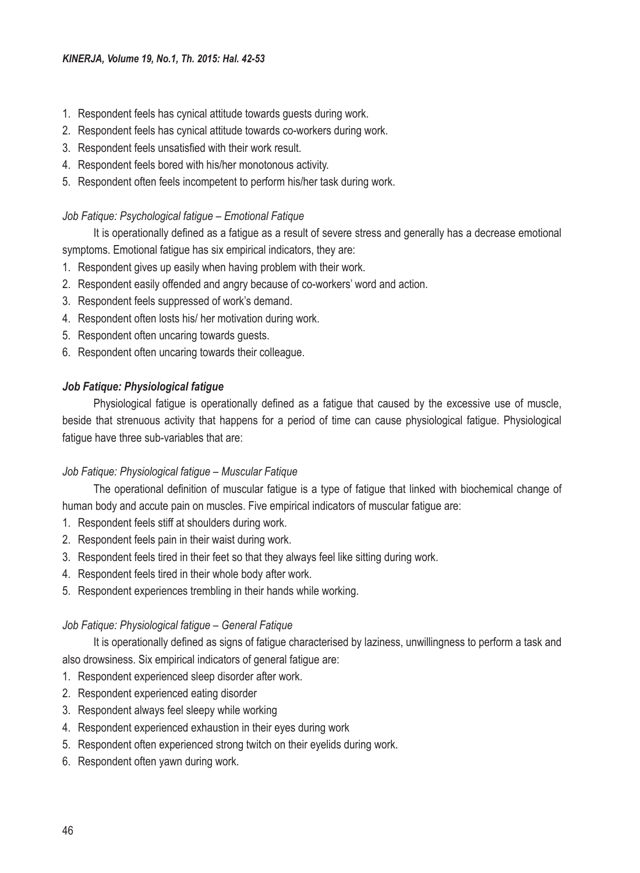- 1. Respondent feels has cynical attitude towards guests during work.
- 2. Respondent feels has cynical attitude towards co-workers during work.
- 3. Respondent feels unsatisfied with their work result.
- 4. Respondent feels bored with his/her monotonous activity.
- 5. Respondent often feels incompetent to perform his/her task during work.

### *Job Fatique: Psychological fatigue – Emotional Fatique*

It is operationally defined as a fatigue as a result of severe stress and generally has a decrease emotional

symptoms. Emotional fatigue has six empirical indicators, they are:

- 1. Respondent gives up easily when having problem with their work.
- 2. Respondent easily offended and angry because of co-workers' word and action.
- 3. Respondent feels suppressed of work's demand.
- 4. Respondent often losts his/ her motivation during work.
- 5. Respondent often uncaring towards guests.
- 6. Respondent often uncaring towards their colleague.

### *Job Fatique: Physiological fatigue*

Physiological fatigue is operationally defined as a fatigue that caused by the excessive use of muscle, beside that strenuous activity that happens for a period of time can cause physiological fatigue. Physiological fatigue have three sub-variables that are:

# *Job Fatique: Physiological fatigue – Muscular Fatique*

The operational definition of muscular fatigue is a type of fatigue that linked with biochemical change of human body and accute pain on muscles. Five empirical indicators of muscular fatigue are:

- 1. Respondent feels stiff at shoulders during work.
- 2. Respondent feels pain in their waist during work.
- 3. Respondent feels tired in their feet so that they always feel like sitting during work.
- 4. Respondent feels tired in their whole body after work.
- 5. Respondent experiences trembling in their hands while working.

#### *Job Fatique: Physiological fatigue – General Fatique*

It is operationally defined as signs of fatigue characterised by laziness, unwillingness to perform a task and also drowsiness. Six empirical indicators of general fatigue are:

- 1. Respondent experienced sleep disorder after work.
- 2. Respondent experienced eating disorder
- 3. Respondent always feel sleepy while working
- 4. Respondent experienced exhaustion in their eyes during work
- 5. Respondent often experienced strong twitch on their eyelids during work.
- 6. Respondent often yawn during work.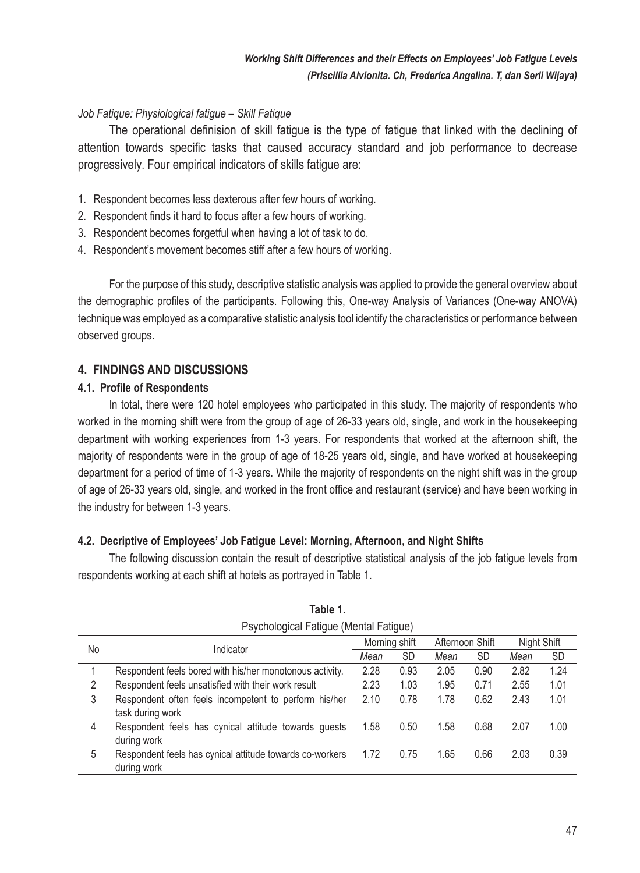### *Job Fatique: Physiological fatigue – Skill Fatique*

The operational definision of skill fatigue is the type of fatigue that linked with the declining of attention towards specific tasks that caused accuracy standard and job performance to decrease progressively. Four empirical indicators of skills fatigue are:

- 1. Respondent becomes less dexterous after few hours of working.
- 2. Respondent finds it hard to focus after a few hours of working.
- 3. Respondent becomes forgetful when having a lot of task to do.
- 4. Respondent's movement becomes stiff after a few hours of working.

For the purpose of this study, descriptive statistic analysis was applied to provide the general overview about the demographic profiles of the participants. Following this, One-way Analysis of Variances (One-way ANOVA) technique was employed as a comparative statistic analysis tool identify the characteristics or performance between observed groups.

# **4. FINDINGS AND DISCUSSIONS**

#### **4.1. Profile of Respondents**

In total, there were 120 hotel employees who participated in this study. The majority of respondents who worked in the morning shift were from the group of age of 26-33 years old, single, and work in the housekeeping department with working experiences from 1-3 years. For respondents that worked at the afternoon shift, the majority of respondents were in the group of age of 18-25 years old, single, and have worked at housekeeping department for a period of time of 1-3 years. While the majority of respondents on the night shift was in the group of age of 26-33 years old, single, and worked in the front office and restaurant (service) and have been working in the industry for between 1-3 years.

# **4.2. Decriptive of Employees' Job Fatigue Level: Morning, Afternoon, and Night Shifts**

The following discussion contain the result of descriptive statistical analysis of the job fatigue levels from respondents working at each shift at hotels as portrayed in Table 1.

| Psychological Fatigue (Mental Fatigue) |                                                                           |      |               |      |                 |      |             |  |  |
|----------------------------------------|---------------------------------------------------------------------------|------|---------------|------|-----------------|------|-------------|--|--|
| No                                     | Indicator                                                                 |      | Morning shift |      | Afternoon Shift |      | Night Shift |  |  |
|                                        |                                                                           |      | <b>SD</b>     | Mean | <b>SD</b>       | Mean | SD          |  |  |
|                                        | Respondent feels bored with his/her monotonous activity.                  | 2.28 | 0.93          | 2.05 | 0.90            | 2.82 | 1.24        |  |  |
| 2                                      | Respondent feels unsatisfied with their work result                       | 2.23 | 1.03          | 1.95 | 0.71            | 2.55 | 1.01        |  |  |
| 3                                      | Respondent often feels incompetent to perform his/her<br>task during work | 2.10 | 0.78          | 1.78 | 0.62            | 2.43 | 1.01        |  |  |
| 4                                      | Respondent feels has cynical attitude towards quests<br>during work       | 1.58 | 0.50          | 1.58 | 0.68            | 2.07 | 1.00        |  |  |
| 5                                      | Respondent feels has cynical attitude towards co-workers<br>during work   | 1.72 | 0.75          | 1.65 | 0.66            | 2.03 | 0.39        |  |  |

| Table 1.                           |  |
|------------------------------------|--|
| Psychological Fatique (Mental Fati |  |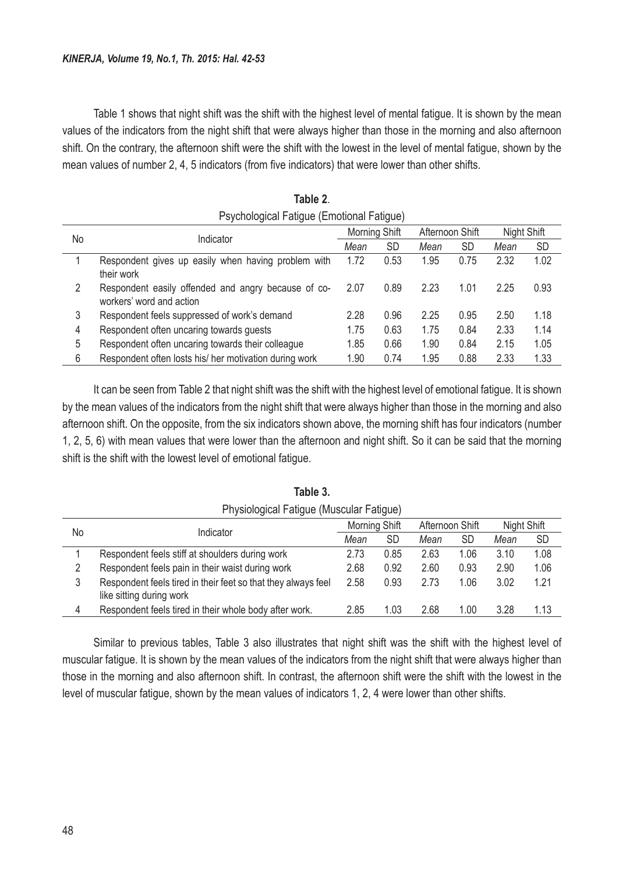Table 1 shows that night shift was the shift with the highest level of mental fatigue. It is shown by the mean values of the indicators from the night shift that were always higher than those in the morning and also afternoon shift. On the contrary, the afternoon shift were the shift with the lowest in the level of mental fatigue, shown by the mean values of number 2, 4, 5 indicators (from five indicators) that were lower than other shifts.

| Psychological Fatigue (Emotional Fatigue) |                                                                                 |      |               |      |                 |      |             |  |  |
|-------------------------------------------|---------------------------------------------------------------------------------|------|---------------|------|-----------------|------|-------------|--|--|
|                                           | Indicator                                                                       |      | Morning Shift |      | Afternoon Shift |      | Night Shift |  |  |
| No                                        |                                                                                 |      | <b>SD</b>     | Mean | <b>SD</b>       | Mean | <b>SD</b>   |  |  |
|                                           | Respondent gives up easily when having problem with<br>their work               | 1.72 | 0.53          | 1.95 | 0.75            | 2.32 | 1.02        |  |  |
| 2                                         | Respondent easily offended and angry because of co-<br>workers' word and action | 2.07 | 0.89          | 2.23 | 1.01            | 2.25 | 0.93        |  |  |
| 3                                         | Respondent feels suppressed of work's demand                                    | 2.28 | 0.96          | 2.25 | 0.95            | 2.50 | 1.18        |  |  |
| 4                                         | Respondent often uncaring towards guests                                        | 1.75 | 0.63          | 1.75 | 0.84            | 2.33 | 1.14        |  |  |
| 5                                         | Respondent often uncaring towards their colleague                               | 1.85 | 0.66          | 1.90 | 0.84            | 2.15 | 1.05        |  |  |
| 6                                         | Respondent often losts his/her motivation during work                           | 1.90 | 0.74          | 1.95 | 0.88            | 2.33 | 1.33        |  |  |

| Table 2.                                |  |
|-----------------------------------------|--|
| sychological Fatigue (Emotional Fatigue |  |

It can be seen from Table 2 that night shift was the shift with the highest level of emotional fatigue. It is shown by the mean values of the indicators from the night shift that were always higher than those in the morning and also afternoon shift. On the opposite, from the six indicators shown above, the morning shift has four indicators (number 1, 2, 5, 6) with mean values that were lower than the afternoon and night shift. So it can be said that the morning shift is the shift with the lowest level of emotional fatigue.

| Physiological Fatigue (Muscular Fatigue) |                                                               |      |               |      |                 |      |             |  |  |
|------------------------------------------|---------------------------------------------------------------|------|---------------|------|-----------------|------|-------------|--|--|
| No                                       | Indicator                                                     |      | Morning Shift |      | Afternoon Shift |      | Night Shift |  |  |
|                                          |                                                               |      | SD            | Mean | SD              | Mean | SD          |  |  |
|                                          | Respondent feels stiff at shoulders during work               | 2.73 | 0.85          | 2.63 | 1.06            | 3.10 | 1.08        |  |  |
|                                          | Respondent feels pain in their waist during work              | 2.68 | 0.92          | 2.60 | 0.93            | 2.90 | 1.06        |  |  |
| 3                                        | Respondent feels tired in their feet so that they always feel | 2.58 | 0.93          | 2.73 | 1.06            | 3.02 | 1.21        |  |  |
|                                          | like sitting during work                                      |      |               |      |                 |      |             |  |  |
| 4                                        | Respondent feels tired in their whole body after work.        | 2.85 | 1.03          | 2.68 | 1.00            | 3.28 | 1.13        |  |  |

**Table 3.**

Similar to previous tables, Table 3 also illustrates that night shift was the shift with the highest level of muscular fatigue. It is shown by the mean values of the indicators from the night shift that were always higher than those in the morning and also afternoon shift. In contrast, the afternoon shift were the shift with the lowest in the level of muscular fatigue, shown by the mean values of indicators 1, 2, 4 were lower than other shifts.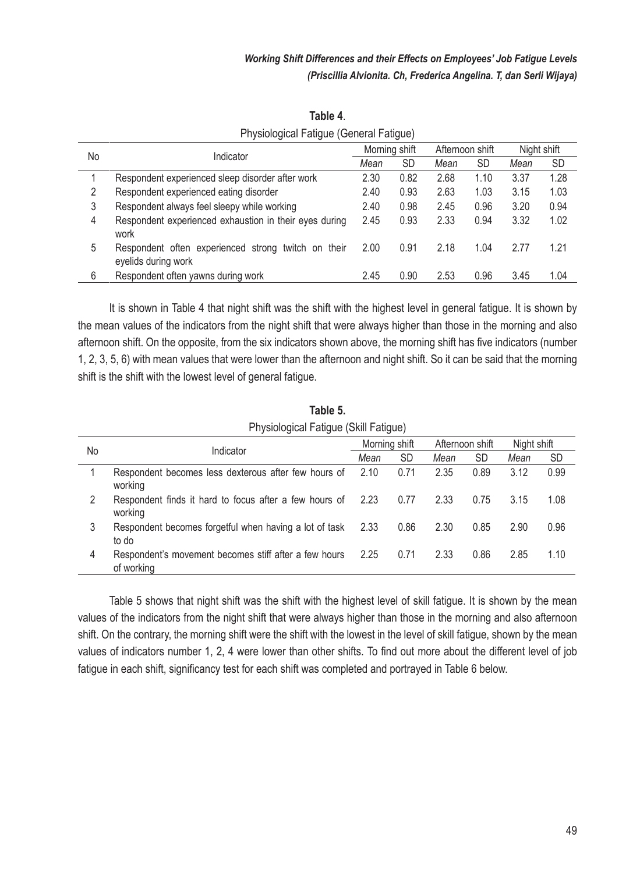|    | Indicator                                                                  |      | Morning shift |      | Afternoon shift |      | Night shift |
|----|----------------------------------------------------------------------------|------|---------------|------|-----------------|------|-------------|
| No |                                                                            |      | <b>SD</b>     | Mean | SD              | Mean | <b>SD</b>   |
|    | Respondent experienced sleep disorder after work                           | 2.30 | 0.82          | 2.68 | 1.10            | 3.37 | 1.28        |
| 2  | Respondent experienced eating disorder                                     | 2.40 | 0.93          | 2.63 | 1.03            | 3.15 | 1.03        |
| 3  | Respondent always feel sleepy while working                                | 2.40 | 0.98          | 2.45 | 0.96            | 3.20 | 0.94        |
| 4  | Respondent experienced exhaustion in their eyes during<br>work             | 2.45 | 0.93          | 2.33 | 0.94            | 3.32 | 1.02        |
| 5  | Respondent often experienced strong twitch on their<br>eyelids during work | 2.00 | 0.91          | 2.18 | 1.04            | 2.77 | 1.21        |
| 6  | Respondent often yawns during work                                         | 2.45 | 0.90          | 2.53 | 0.96            | 3.45 | 1.04        |

**Table 4**. Physiological Fatigue (General Fatigue)

It is shown in Table 4 that night shift was the shift with the highest level in general fatigue. It is shown by the mean values of the indicators from the night shift that were always higher than those in the morning and also afternoon shift. On the opposite, from the six indicators shown above, the morning shift has five indicators (number 1, 2, 3, 5, 6) with mean values that were lower than the afternoon and night shift. So it can be said that the morning shift is the shift with the lowest level of general fatigue.

|    | Physiological Fatigue (Skill Fatigue)                               |               |           |                 |      |             |      |  |  |
|----|---------------------------------------------------------------------|---------------|-----------|-----------------|------|-------------|------|--|--|
|    |                                                                     | Morning shift |           | Afternoon shift |      | Night shift |      |  |  |
| No | Indicator                                                           | Mean          | <b>SD</b> | Mean            | SD   | Mean        | SD   |  |  |
|    | Respondent becomes less dexterous after few hours of<br>working     | 2.10          | 0.71      | 2.35            | 0.89 | 3.12        | 0.99 |  |  |
| 2  | Respondent finds it hard to focus after a few hours of<br>working   | 2.23          | 0.77      | 2.33            | 0.75 | 3.15        | 1.08 |  |  |
| 3  | Respondent becomes forgetful when having a lot of task<br>to do     | 2.33          | 0.86      | 2.30            | 0.85 | 2.90        | 0.96 |  |  |
| 4  | Respondent's movement becomes stiff after a few hours<br>of working | 2.25          | 0.71      | 2.33            | 0.86 | 2.85        | 1.10 |  |  |

**Table 5.**

Table 5 shows that night shift was the shift with the highest level of skill fatigue. It is shown by the mean values of the indicators from the night shift that were always higher than those in the morning and also afternoon shift. On the contrary, the morning shift were the shift with the lowest in the level of skill fatigue, shown by the mean values of indicators number 1, 2, 4 were lower than other shifts. To find out more about the different level of job fatigue in each shift, significancy test for each shift was completed and portrayed in Table 6 below.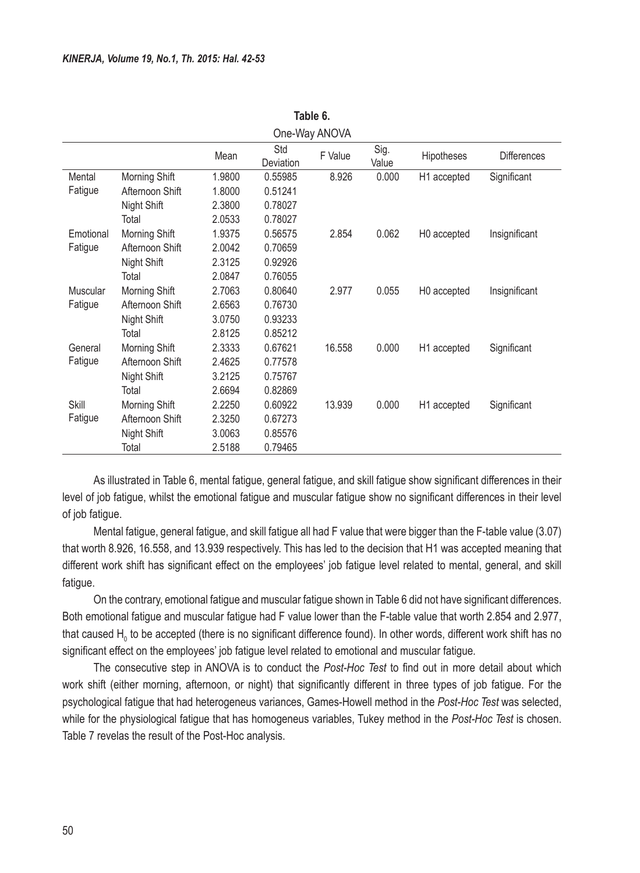|           | One-Way ANOVA   |        |                  |         |               |             |                    |  |  |
|-----------|-----------------|--------|------------------|---------|---------------|-------------|--------------------|--|--|
|           |                 | Mean   | Std<br>Deviation | F Value | Sig.<br>Value | Hipotheses  | <b>Differences</b> |  |  |
| Mental    | Morning Shift   | 1.9800 | 0.55985          | 8.926   | 0.000         | H1 accepted | Significant        |  |  |
| Fatigue   | Afternoon Shift | 1.8000 | 0.51241          |         |               |             |                    |  |  |
|           | Night Shift     | 2.3800 | 0.78027          |         |               |             |                    |  |  |
|           | Total           | 2.0533 | 0.78027          |         |               |             |                    |  |  |
| Emotional | Morning Shift   | 1.9375 | 0.56575          | 2.854   | 0.062         | H0 accepted | Insignificant      |  |  |
| Fatigue   | Afternoon Shift | 2.0042 | 0.70659          |         |               |             |                    |  |  |
|           | Night Shift     | 2.3125 | 0.92926          |         |               |             |                    |  |  |
|           | Total           | 2.0847 | 0.76055          |         |               |             |                    |  |  |
| Muscular  | Morning Shift   | 2.7063 | 0.80640          | 2.977   | 0.055         | H0 accepted | Insignificant      |  |  |
| Fatigue   | Afternoon Shift | 2.6563 | 0.76730          |         |               |             |                    |  |  |
|           | Night Shift     | 3.0750 | 0.93233          |         |               |             |                    |  |  |
|           | Total           | 2.8125 | 0.85212          |         |               |             |                    |  |  |
| General   | Morning Shift   | 2.3333 | 0.67621          | 16.558  | 0.000         | H1 accepted | Significant        |  |  |
| Fatigue   | Afternoon Shift | 2.4625 | 0.77578          |         |               |             |                    |  |  |
|           | Night Shift     | 3.2125 | 0.75767          |         |               |             |                    |  |  |
|           | Total           | 2.6694 | 0.82869          |         |               |             |                    |  |  |
| Skill     | Morning Shift   | 2.2250 | 0.60922          | 13.939  | 0.000         | H1 accepted | Significant        |  |  |
| Fatigue   | Afternoon Shift | 2.3250 | 0.67273          |         |               |             |                    |  |  |
|           | Night Shift     | 3.0063 | 0.85576          |         |               |             |                    |  |  |
|           | Total           | 2.5188 | 0.79465          |         |               |             |                    |  |  |

**Table 6.**

As illustrated in Table 6, mental fatigue, general fatigue, and skill fatigue show significant differences in their level of job fatigue, whilst the emotional fatigue and muscular fatigue show no significant differences in their level of job fatigue.

Mental fatigue, general fatigue, and skill fatigue all had F value that were bigger than the F-table value (3.07) that worth 8.926, 16.558, and 13.939 respectively. This has led to the decision that H1 was accepted meaning that different work shift has significant effect on the employees' job fatigue level related to mental, general, and skill fatigue.

On the contrary, emotional fatigue and muscular fatigue shown in Table 6 did not have significant differences. Both emotional fatigue and muscular fatigue had F value lower than the F-table value that worth 2.854 and 2.977, that caused H<sub>0</sub> to be accepted (there is no significant difference found). In other words, different work shift has no significant effect on the employees' job fatigue level related to emotional and muscular fatigue.

The consecutive step in ANOVA is to conduct the *Post-Hoc Test* to find out in more detail about which work shift (either morning, afternoon, or night) that significantly different in three types of job fatigue. For the psychological fatigue that had heterogeneus variances, Games-Howell method in the *Post-Hoc Test* was selected, while for the physiological fatigue that has homogeneus variables, Tukey method in the *Post-Hoc Test* is chosen. Table 7 revelas the result of the Post-Hoc analysis.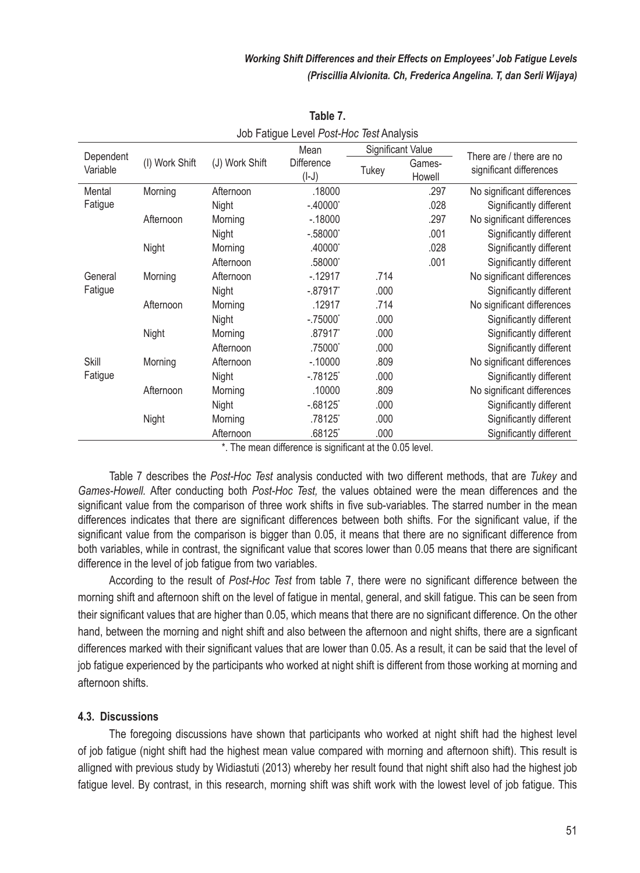|                       | JOD FAILUDE LEVEL FOSI-LIOC TEST ATTAINS |                |                       |                          |                  |                                                     |  |  |  |
|-----------------------|------------------------------------------|----------------|-----------------------|--------------------------|------------------|-----------------------------------------------------|--|--|--|
|                       |                                          |                | Mean                  | <b>Significant Value</b> |                  |                                                     |  |  |  |
| Dependent<br>Variable | (I) Work Shift                           | (J) Work Shift | Difference<br>$(I-J)$ | Tukey                    | Games-<br>Howell | There are / there are no<br>significant differences |  |  |  |
| Mental                | Morning                                  | Afternoon      | .18000                |                          | .297             | No significant differences                          |  |  |  |
| Fatigue               |                                          | Night          | $-.40000*$            |                          | .028             | Significantly different                             |  |  |  |
|                       | Afternoon                                | Morning        | $-0.18000$            |                          | .297             | No significant differences                          |  |  |  |
|                       |                                          | Night          | $-.58000*$            |                          | .001             | Significantly different                             |  |  |  |
|                       | Night                                    | Morning        | .40000*               |                          | .028             | Significantly different                             |  |  |  |
|                       |                                          | Afternoon      | .58000*               |                          | .001             | Significantly different                             |  |  |  |
| General               | Morning                                  | Afternoon      | $-12917$              | .714                     |                  | No significant differences                          |  |  |  |
| Fatigue               |                                          | Night          | $-.87917$             | .000                     |                  | Significantly different                             |  |  |  |
|                       | Afternoon                                | Morning        | .12917                | .714                     |                  | No significant differences                          |  |  |  |
|                       |                                          | Night          | $-.75000"$            | .000                     |                  | Significantly different                             |  |  |  |
|                       | Night                                    | Morning        | .87917*               | .000                     |                  | Significantly different                             |  |  |  |
|                       |                                          | Afternoon      | .75000*               | .000                     |                  | Significantly different                             |  |  |  |
| <b>Skill</b>          | Morning                                  | Afternoon      | $-0.10000$            | .809                     |                  | No significant differences                          |  |  |  |
| Fatigue               |                                          | Night          | $-.78125$             | .000                     |                  | Significantly different                             |  |  |  |
|                       | Afternoon                                | Morning        | .10000                | .809                     |                  | No significant differences                          |  |  |  |
|                       |                                          | Night          | $-0.68125$            | .000                     |                  | Significantly different                             |  |  |  |
|                       | Night                                    | Morning        | .78125*               | .000                     |                  | Significantly different                             |  |  |  |
|                       |                                          | Afternoon      | .68125*               | .000                     |                  | Significantly different                             |  |  |  |

**Table 7.** Job Fatigue Level *Post-Hoc Test* Analysis

\*. The mean difference is significant at the 0.05 level.

Table 7 describes the *Post-Hoc Test* analysis conducted with two different methods, that are *Tukey* and *Games-Howell.* After conducting both *Post-Hoc Test,* the values obtained were the mean differences and the significant value from the comparison of three work shifts in five sub-variables. The starred number in the mean differences indicates that there are significant differences between both shifts. For the significant value, if the significant value from the comparison is bigger than 0.05, it means that there are no significant difference from both variables, while in contrast, the significant value that scores lower than 0.05 means that there are significant difference in the level of job fatigue from two variables.

According to the result of *Post-Hoc Test* from table 7, there were no significant difference between the morning shift and afternoon shift on the level of fatigue in mental, general, and skill fatigue. This can be seen from their significant values that are higher than 0.05, which means that there are no significant difference. On the other hand, between the morning and night shift and also between the afternoon and night shifts, there are a signficant differences marked with their significant values that are lower than 0.05. As a result, it can be said that the level of job fatigue experienced by the participants who worked at night shift is different from those working at morning and afternoon shifts.

#### **4.3. Discussions**

The foregoing discussions have shown that participants who worked at night shift had the highest level of job fatigue (night shift had the highest mean value compared with morning and afternoon shift). This result is alligned with previous study by Widiastuti (2013) whereby her result found that night shift also had the highest job fatigue level. By contrast, in this research, morning shift was shift work with the lowest level of job fatigue. This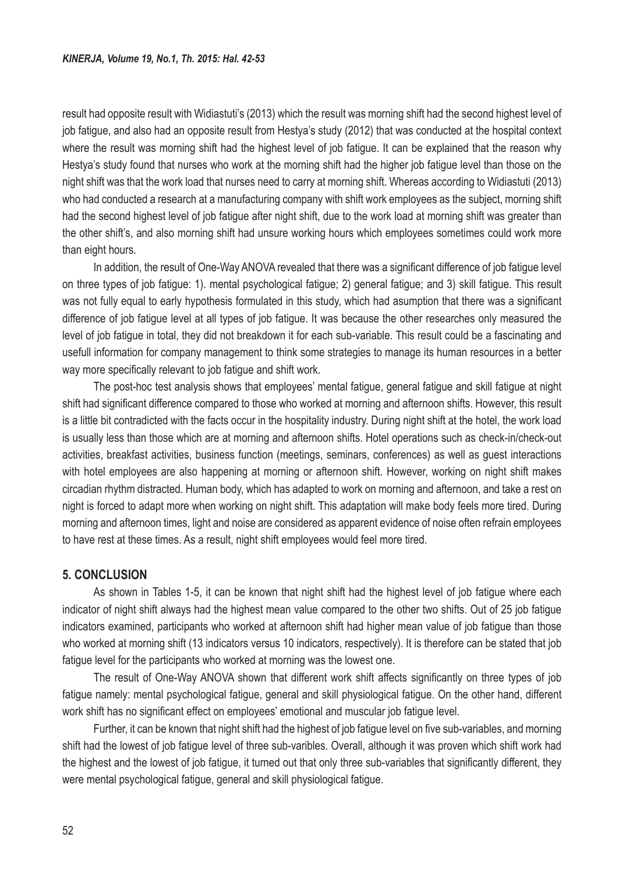result had opposite result with Widiastuti's (2013) which the result was morning shift had the second highest level of job fatigue, and also had an opposite result from Hestya's study (2012) that was conducted at the hospital context where the result was morning shift had the highest level of job fatigue. It can be explained that the reason why Hestya's study found that nurses who work at the morning shift had the higher job fatigue level than those on the night shift was that the work load that nurses need to carry at morning shift. Whereas according to Widiastuti (2013) who had conducted a research at a manufacturing company with shift work employees as the subject, morning shift had the second highest level of job fatigue after night shift, due to the work load at morning shift was greater than the other shift's, and also morning shift had unsure working hours which employees sometimes could work more than eight hours.

In addition, the result of One-Way ANOVA revealed that there was a significant difference of job fatigue level on three types of job fatigue: 1). mental psychological fatigue; 2) general fatigue; and 3) skill fatigue. This result was not fully equal to early hypothesis formulated in this study, which had asumption that there was a significant difference of job fatigue level at all types of job fatigue. It was because the other researches only measured the level of job fatigue in total, they did not breakdown it for each sub-variable. This result could be a fascinating and usefull information for company management to think some strategies to manage its human resources in a better way more specifically relevant to job fatigue and shift work.

The post-hoc test analysis shows that employees' mental fatigue, general fatigue and skill fatigue at night shift had significant difference compared to those who worked at morning and afternoon shifts. However, this result is a little bit contradicted with the facts occur in the hospitality industry. During night shift at the hotel, the work load is usually less than those which are at morning and afternoon shifts. Hotel operations such as check-in/check-out activities, breakfast activities, business function (meetings, seminars, conferences) as well as guest interactions with hotel employees are also happening at morning or afternoon shift. However, working on night shift makes circadian rhythm distracted. Human body, which has adapted to work on morning and afternoon, and take a rest on night is forced to adapt more when working on night shift. This adaptation will make body feels more tired. During morning and afternoon times, light and noise are considered as apparent evidence of noise often refrain employees to have rest at these times. As a result, night shift employees would feel more tired.

#### **5. CONCLUSION**

As shown in Tables 1-5, it can be known that night shift had the highest level of job fatigue where each indicator of night shift always had the highest mean value compared to the other two shifts. Out of 25 job fatigue indicators examined, participants who worked at afternoon shift had higher mean value of job fatigue than those who worked at morning shift (13 indicators versus 10 indicators, respectively). It is therefore can be stated that job fatigue level for the participants who worked at morning was the lowest one.

The result of One-Way ANOVA shown that different work shift affects significantly on three types of job fatigue namely: mental psychological fatigue, general and skill physiological fatigue. On the other hand, different work shift has no significant effect on employees' emotional and muscular job fatigue level.

Further, it can be known that night shift had the highest of job fatigue level on five sub-variables, and morning shift had the lowest of job fatigue level of three sub-varibles. Overall, although it was proven which shift work had the highest and the lowest of job fatigue, it turned out that only three sub-variables that significantly different, they were mental psychological fatigue, general and skill physiological fatigue.